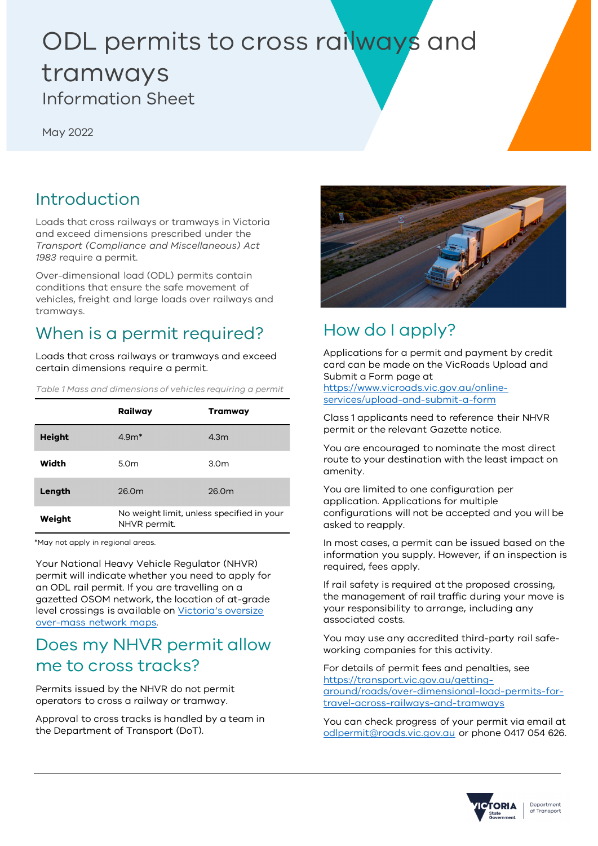# ODL permits to cross railways and tramways Information Sheet

May 2022

### Introduction

Loads that cross railways or tramways in Victoria and exceed dimensions prescribed under the *Transport (Compliance and Miscellaneous) Act 1983* require a permit.

Over-dimensional load (ODL) permits contain conditions that ensure the safe movement of vehicles, freight and large loads over railways and tramways.

# When is a permit required?

Loads that cross railways or tramways and exceed certain dimensions require a permit.

*Table 1 Mass and dimensions of vehicles requiring a permit*

|               | Railway                                                   | Tramway          |
|---------------|-----------------------------------------------------------|------------------|
| <b>Height</b> | $4.9m*$                                                   | 4.3 <sub>m</sub> |
| Width         | 5.0 <sub>m</sub>                                          | 3.0 <sub>m</sub> |
| Length        | 26.0m                                                     | 26.0m            |
| Weight        | No weight limit, unless specified in your<br>NHVR permit. |                  |

\*May not apply in regional areas.

Your National Heavy Vehicle Regulator (NHVR) permit will indicate whether you need to apply for an ODL rail permit. If you are travelling on a gazetted OSOM network, the location of at-grade level crossings is available on Victoria's oversize over-mass network maps.

#### Does my NHVR permit allow me to cross tracks?

Permits issued by the NHVR do not permit operators to cross a railway or tramway.

Approval to cross tracks is handled by a team in the Department of Transport (DoT).



# How do I apply?

Applications for a permit and payment by credit card can be made on the VicRoads Upload and Submit a Form page at

https://www.vicroads.vic.gov.au/onlineservices/upload-and-submit-a-form

Class 1 applicants need to reference their NHVR permit or the relevant Gazette notice.

You are encouraged to nominate the most direct route to your destination with the least impact on amenity.

You are limited to one configuration per application. Applications for multiple configurations will not be accepted and you will be asked to reapply.

In most cases, a permit can be issued based on the information you supply. However, if an inspection is required, fees apply.

If rail safety is required at the proposed crossing, the management of rail traffic during your move is your responsibility to arrange, including any associated costs.

You may use any accredited third-party rail safeworking companies for this activity.

For details of permit fees and penalties, see https://transport.vic.gov.au/gettingaround/roads/over-dimensional-load-permits-fortravel-across-railways-and-tramways

You can check progress of your permit via email at odlpermit@roads.vic.gov.au or phone 0417 054 626.